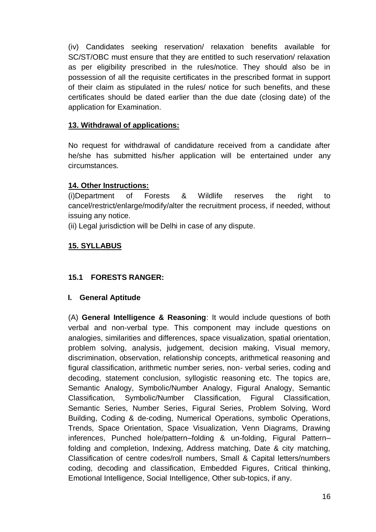(iv) Candidates seeking reservation/ relaxation benefits available for SC/ST/OBC must ensure that they are entitled to such reservation/ relaxation as per eligibility prescribed in the rules/notice. They should also be in possession of all the requisite certificates in the prescribed format in support of their claim as stipulated in the rules/ notice for such benefits, and these certificates should be dated earlier than the due date (closing date) of the application for Examination.

### **13. Withdrawal of applications:**

No request for withdrawal of candidature received from a candidate after he/she has submitted his/her application will be entertained under any circumstances.

### **14. Other Instructions:**

(i)Department of Forests & Wildlife reserves the right to cancel/restrict/enlarge/modify/alter the recruitment process, if needed, without issuing any notice.

(ii) Legal jurisdiction will be Delhi in case of any dispute.

# **15. SYLLABUS**

# **15.1 FORESTS RANGER:**

### **I. General Aptitude**

(A) **General Intelligence & Reasoning**: It would include questions of both verbal and non-verbal type. This component may include questions on analogies, similarities and differences, space visualization, spatial orientation, problem solving, analysis, judgement, decision making, Visual memory, discrimination, observation, relationship concepts, arithmetical reasoning and figural classification, arithmetic number series, non- verbal series, coding and decoding, statement conclusion, syllogistic reasoning etc. The topics are, Semantic Analogy, Symbolic/Number Analogy, Figural Analogy, Semantic Classification, Symbolic/Number Classification, Figural Classification, Semantic Series, Number Series, Figural Series, Problem Solving, Word Building, Coding & de-coding, Numerical Operations, symbolic Operations, Trends, Space Orientation, Space Visualization, Venn Diagrams, Drawing inferences, Punched hole/pattern–folding & un-folding, Figural Pattern– folding and completion, Indexing, Address matching, Date & city matching, Classification of centre codes/roll numbers, Small & Capital letters/numbers coding, decoding and classification, Embedded Figures, Critical thinking, Emotional Intelligence, Social Intelligence, Other sub-topics, if any.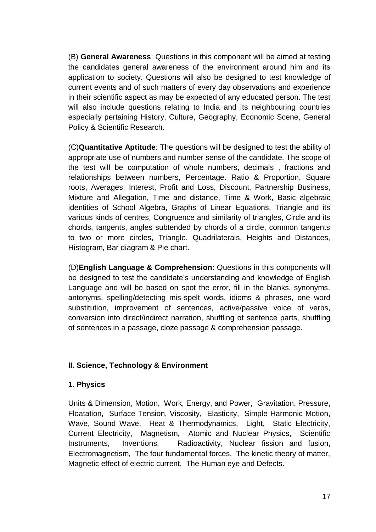(B) **General Awareness**: Questions in this component will be aimed at testing the candidates general awareness of the environment around him and its application to society. Questions will also be designed to test knowledge of current events and of such matters of every day observations and experience in their scientific aspect as may be expected of any educated person. The test will also include questions relating to India and its neighbouring countries especially pertaining History, Culture, Geography, Economic Scene, General Policy & Scientific Research.

(C)**Quantitative Aptitude**: The questions will be designed to test the ability of appropriate use of numbers and number sense of the candidate. The scope of the test will be computation of whole numbers, decimals , fractions and relationships between numbers, Percentage. Ratio & Proportion, Square roots, Averages, Interest, Profit and Loss, Discount, Partnership Business, Mixture and Allegation, Time and distance, Time & Work, Basic algebraic identities of School Algebra, Graphs of Linear Equations, Triangle and its various kinds of centres, Congruence and similarity of triangles, Circle and its chords, tangents, angles subtended by chords of a circle, common tangents to two or more circles, Triangle, Quadrilaterals, Heights and Distances, Histogram, Bar diagram & Pie chart.

(D)**English Language & Comprehension**: Questions in this components will be designed to test the candidate's understanding and knowledge of English Language and will be based on spot the error, fill in the blanks, synonyms, antonyms, spelling/detecting mis-spelt words, idioms & phrases, one word substitution, improvement of sentences, active/passive voice of verbs, conversion into direct/indirect narration, shuffling of sentence parts, shuffling of sentences in a passage, cloze passage & comprehension passage.

### **II. Science, Technology & Environment**

#### **1. Physics**

Units & Dimension, Motion, Work, Energy, and Power, Gravitation, Pressure, Floatation, Surface Tension, Viscosity, Elasticity, Simple Harmonic Motion, Wave, Sound Wave, Heat & Thermodynamics, Light, Static Electricity, Current Electricity, Magnetism, Atomic and Nuclear Physics, Scientific Instruments, Inventions, Radioactivity, Nuclear fission and fusion, Electromagnetism, The four fundamental forces, The kinetic theory of matter, Magnetic effect of electric current, The Human eye and Defects.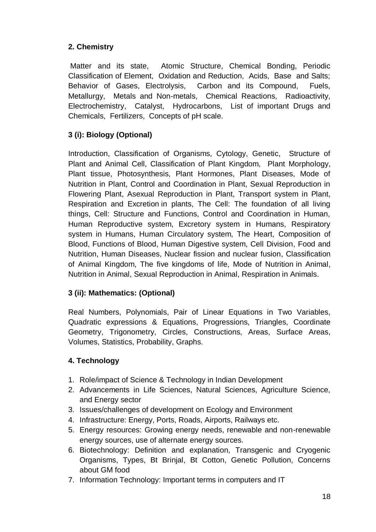# **2. Chemistry**

Matter and its state, Atomic Structure, Chemical Bonding, Periodic Classification of Element, Oxidation and Reduction, Acids, Base and Salts; Behavior of Gases, Electrolysis, Carbon and its Compound, Fuels, Metallurgy, Metals and Non-metals, Chemical Reactions, Radioactivity, Electrochemistry, Catalyst, Hydrocarbons, List of important Drugs and Chemicals, Fertilizers, Concepts of pH scale.

# **3 (i): Biology (Optional)**

Introduction, Classification of Organisms, Cytology, Genetic, Structure of Plant and Animal Cell, Classification of Plant Kingdom, Plant Morphology, Plant tissue, Photosynthesis, Plant Hormones, Plant Diseases, Mode of Nutrition in Plant, Control and Coordination in Plant, Sexual Reproduction in Flowering Plant, Asexual Reproduction in Plant, Transport system in Plant, Respiration and Excretion in plants, The Cell: The foundation of all living things, Cell: Structure and Functions, Control and Coordination in Human, Human Reproductive system, Excretory system in Humans, Respiratory system in Humans, Human Circulatory system, The Heart, Composition of Blood, Functions of Blood, Human Digestive system, Cell Division, Food and Nutrition, Human Diseases, Nuclear fission and nuclear fusion, Classification of Animal Kingdom, The five kingdoms of life, Mode of Nutrition in Animal, Nutrition in Animal, Sexual Reproduction in Animal, Respiration in Animals.

# **3 (ii): Mathematics: (Optional)**

Real Numbers, Polynomials, Pair of Linear Equations in Two Variables, Quadratic expressions & Equations, Progressions, Triangles, Coordinate Geometry, Trigonometry, Circles, Constructions, Areas, Surface Areas, Volumes, Statistics, Probability, Graphs.

# **4. Technology**

- 1. Role/impact of Science & Technology in Indian Development
- 2. Advancements in Life Sciences, Natural Sciences, Agriculture Science, and Energy sector
- 3. Issues/challenges of development on Ecology and Environment
- 4. Infrastructure: Energy, Ports, Roads, Airports, Railways etc.
- 5. Energy resources: Growing energy needs, renewable and non-renewable energy sources, use of alternate energy sources.
- 6. Biotechnology: Definition and explanation, Transgenic and Cryogenic Organisms, Types, Bt Brinjal, Bt Cotton, Genetic Pollution, Concerns about GM food
- 7. Information Technology: Important terms in computers and IT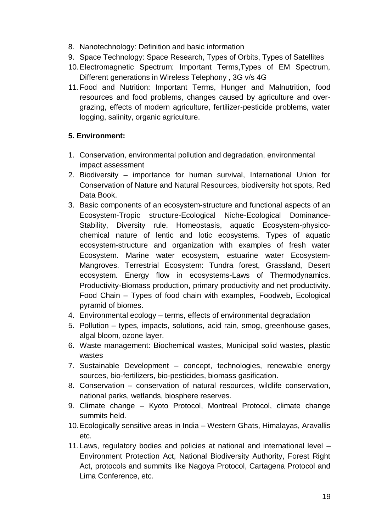- 8. Nanotechnology: Definition and basic information
- 9. Space Technology: Space Research, Types of Orbits, Types of Satellites
- 10.Electromagnetic Spectrum: Important Terms,Types of EM Spectrum, Different generations in Wireless Telephony , 3G v/s 4G
- 11.Food and Nutrition: Important Terms, Hunger and Malnutrition, food resources and food problems, changes caused by agriculture and overgrazing, effects of modern agriculture, fertilizer-pesticide problems, water logging, salinity, organic agriculture.

### **5. Environment:**

- 1. Conservation, environmental pollution and degradation, environmental impact assessment
- 2. Biodiversity importance for human survival, International Union for Conservation of Nature and Natural Resources, biodiversity hot spots, Red Data Book.
- 3. Basic components of an ecosystem-structure and functional aspects of an Ecosystem-Tropic structure-Ecological Niche-Ecological Dominance-Stability, Diversity rule. Homeostasis, aquatic Ecosystem-physicochemical nature of lentic and lotic ecosystems. Types of aquatic ecosystem-structure and organization with examples of fresh water Ecosystem. Marine water ecosystem, estuarine water Ecosystem-Mangroves. Terrestrial Ecosystem: Tundra forest, Grassland, Desert ecosystem. Energy flow in ecosystems-Laws of Thermodynamics. Productivity-Biomass production, primary productivity and net productivity. Food Chain – Types of food chain with examples, Foodweb, Ecological pyramid of biomes.
- 4. Environmental ecology terms, effects of environmental degradation
- 5. Pollution types, impacts, solutions, acid rain, smog, greenhouse gases, algal bloom, ozone layer.
- 6. Waste management: Biochemical wastes, Municipal solid wastes, plastic wastes
- 7. Sustainable Development concept, technologies, renewable energy sources, bio-fertilizers, bio-pesticides, biomass gasification.
- 8. Conservation conservation of natural resources, wildlife conservation, national parks, wetlands, biosphere reserves.
- 9. Climate change Kyoto Protocol, Montreal Protocol, climate change summits held.
- 10.Ecologically sensitive areas in India Western Ghats, Himalayas, Aravallis etc.
- 11.Laws, regulatory bodies and policies at national and international level Environment Protection Act, National Biodiversity Authority, Forest Right Act, protocols and summits like Nagoya Protocol, Cartagena Protocol and Lima Conference, etc.